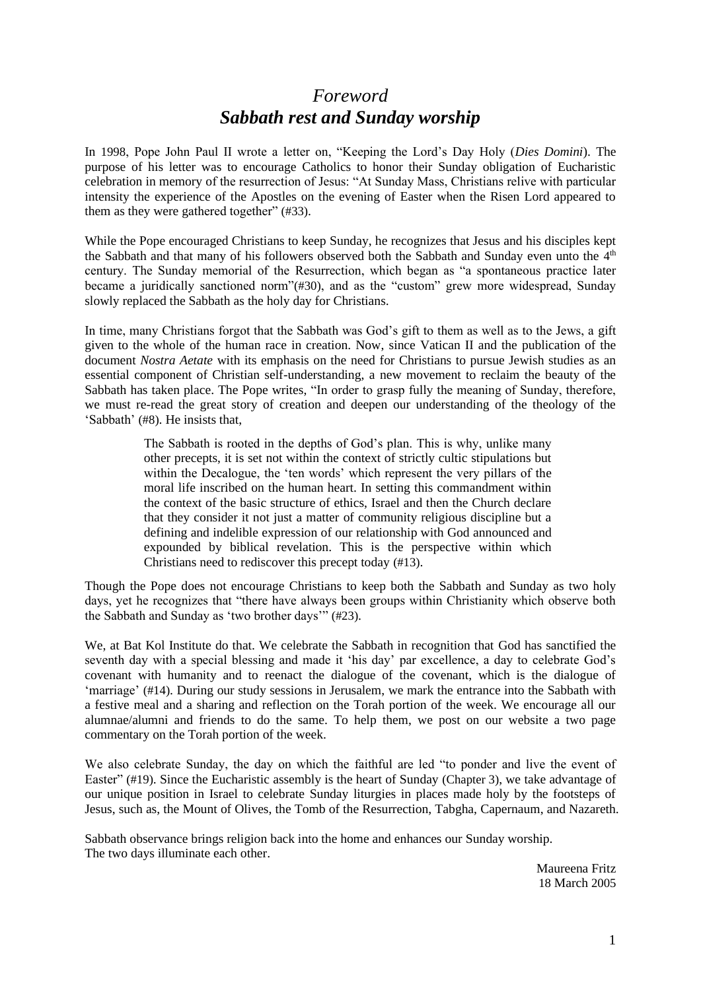# *Foreword Sabbath rest and Sunday worship*

In 1998, Pope John Paul II wrote a letter on, "Keeping the Lord's Day Holy (*Dies Domini*). The purpose of his letter was to encourage Catholics to honor their Sunday obligation of Eucharistic celebration in memory of the resurrection of Jesus: "At Sunday Mass, Christians relive with particular intensity the experience of the Apostles on the evening of Easter when the Risen Lord appeared to them as they were gathered together" (#33).

While the Pope encouraged Christians to keep Sunday, he recognizes that Jesus and his disciples kept the Sabbath and that many of his followers observed both the Sabbath and Sunday even unto the  $4<sup>th</sup>$ century. The Sunday memorial of the Resurrection, which began as "a spontaneous practice later became a juridically sanctioned norm"(#30), and as the "custom" grew more widespread, Sunday slowly replaced the Sabbath as the holy day for Christians.

In time, many Christians forgot that the Sabbath was God's gift to them as well as to the Jews, a gift given to the whole of the human race in creation. Now, since Vatican II and the publication of the document *Nostra Aetate* with its emphasis on the need for Christians to pursue Jewish studies as an essential component of Christian self-understanding, a new movement to reclaim the beauty of the Sabbath has taken place. The Pope writes, "In order to grasp fully the meaning of Sunday, therefore, we must re-read the great story of creation and deepen our understanding of the theology of the 'Sabbath' (#8). He insists that,

> The Sabbath is rooted in the depths of God's plan. This is why, unlike many other precepts, it is set not within the context of strictly cultic stipulations but within the Decalogue, the 'ten words' which represent the very pillars of the moral life inscribed on the human heart. In setting this commandment within the context of the basic structure of ethics, Israel and then the Church declare that they consider it not just a matter of community religious discipline but a defining and indelible expression of our relationship with God announced and expounded by biblical revelation. This is the perspective within which Christians need to rediscover this precept today (#13).

Though the Pope does not encourage Christians to keep both the Sabbath and Sunday as two holy days, yet he recognizes that "there have always been groups within Christianity which observe both the Sabbath and Sunday as 'two brother days'" (#23).

We, at Bat Kol Institute do that. We celebrate the Sabbath in recognition that God has sanctified the seventh day with a special blessing and made it 'his day' par excellence, a day to celebrate God's covenant with humanity and to reenact the dialogue of the covenant, which is the dialogue of 'marriage' (#14). During our study sessions in Jerusalem, we mark the entrance into the Sabbath with a festive meal and a sharing and reflection on the Torah portion of the week. We encourage all our alumnae/alumni and friends to do the same. To help them, we post on our website a two page commentary on the Torah portion of the week.

We also celebrate Sunday, the day on which the faithful are led "to ponder and live the event of Easter" (#19). Since the Eucharistic assembly is the heart of Sunday (Chapter 3), we take advantage of our unique position in Israel to celebrate Sunday liturgies in places made holy by the footsteps of Jesus, such as, the Mount of Olives, the Tomb of the Resurrection, Tabgha, Capernaum, and Nazareth.

Sabbath observance brings religion back into the home and enhances our Sunday worship. The two days illuminate each other.

> Maureena Fritz 18 March 2005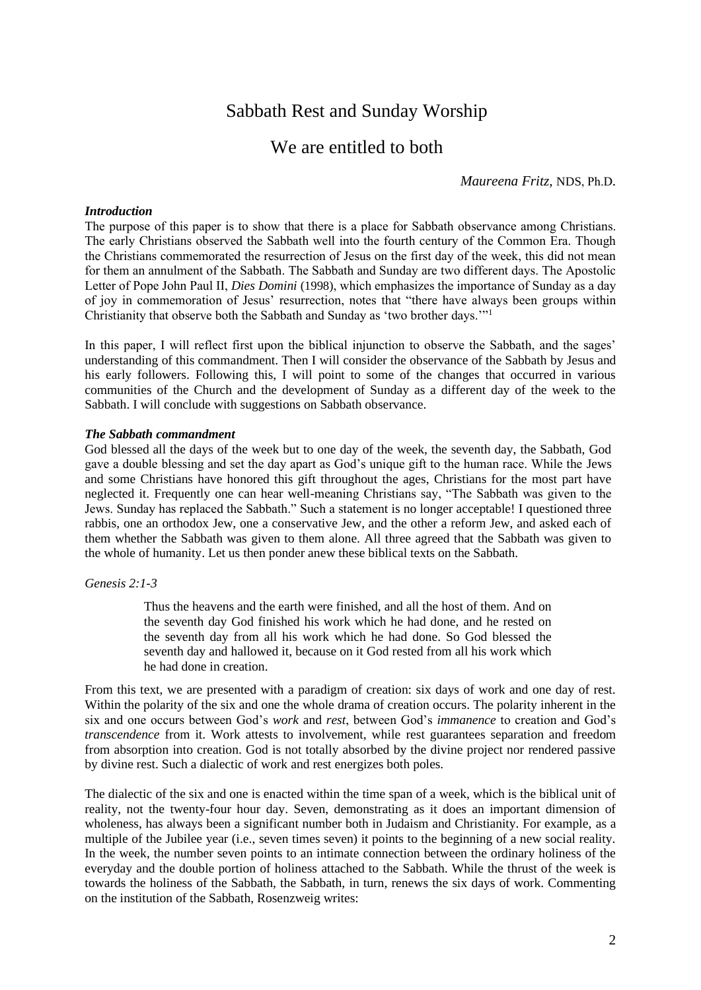# Sabbath Rest and Sunday Worship

# We are entitled to both

*Maureena Fritz,* NDS, Ph.D*.*

# *Introduction*

The purpose of this paper is to show that there is a place for Sabbath observance among Christians. The early Christians observed the Sabbath well into the fourth century of the Common Era. Though the Christians commemorated the resurrection of Jesus on the first day of the week, this did not mean for them an annulment of the Sabbath. The Sabbath and Sunday are two different days. The Apostolic Letter of Pope John Paul II, *Dies Domini* (1998), which emphasizes the importance of Sunday as a day of joy in commemoration of Jesus' resurrection, notes that "there have always been groups within Christianity that observe both the Sabbath and Sunday as 'two brother days.'"<sup>1</sup>

In this paper, I will reflect first upon the biblical injunction to observe the Sabbath, and the sages' understanding of this commandment. Then I will consider the observance of the Sabbath by Jesus and his early followers. Following this, I will point to some of the changes that occurred in various communities of the Church and the development of Sunday as a different day of the week to the Sabbath. I will conclude with suggestions on Sabbath observance.

### *The Sabbath commandment*

God blessed all the days of the week but to one day of the week, the seventh day, the Sabbath, God gave a double blessing and set the day apart as God's unique gift to the human race. While the Jews and some Christians have honored this gift throughout the ages, Christians for the most part have neglected it. Frequently one can hear well-meaning Christians say, "The Sabbath was given to the Jews. Sunday has replaced the Sabbath." Such a statement is no longer acceptable! I questioned three rabbis, one an orthodox Jew, one a conservative Jew, and the other a reform Jew, and asked each of them whether the Sabbath was given to them alone. All three agreed that the Sabbath was given to the whole of humanity. Let us then ponder anew these biblical texts on the Sabbath.

#### *Genesis 2:1-3*

Thus the heavens and the earth were finished, and all the host of them. And on the seventh day God finished his work which he had done, and he rested on the seventh day from all his work which he had done. So God blessed the seventh day and hallowed it, because on it God rested from all his work which he had done in creation.

From this text, we are presented with a paradigm of creation: six days of work and one day of rest. Within the polarity of the six and one the whole drama of creation occurs. The polarity inherent in the six and one occurs between God's *work* and *rest*, between God's *immanence* to creation and God's *transcendence* from it. Work attests to involvement, while rest guarantees separation and freedom from absorption into creation. God is not totally absorbed by the divine project nor rendered passive by divine rest. Such a dialectic of work and rest energizes both poles.

The dialectic of the six and one is enacted within the time span of a week, which is the biblical unit of reality, not the twenty-four hour day. Seven, demonstrating as it does an important dimension of wholeness, has always been a significant number both in Judaism and Christianity. For example, as a multiple of the Jubilee year (i.e., seven times seven) it points to the beginning of a new social reality. In the week, the number seven points to an intimate connection between the ordinary holiness of the everyday and the double portion of holiness attached to the Sabbath. While the thrust of the week is towards the holiness of the Sabbath, the Sabbath, in turn, renews the six days of work. Commenting on the institution of the Sabbath, Rosenzweig writes: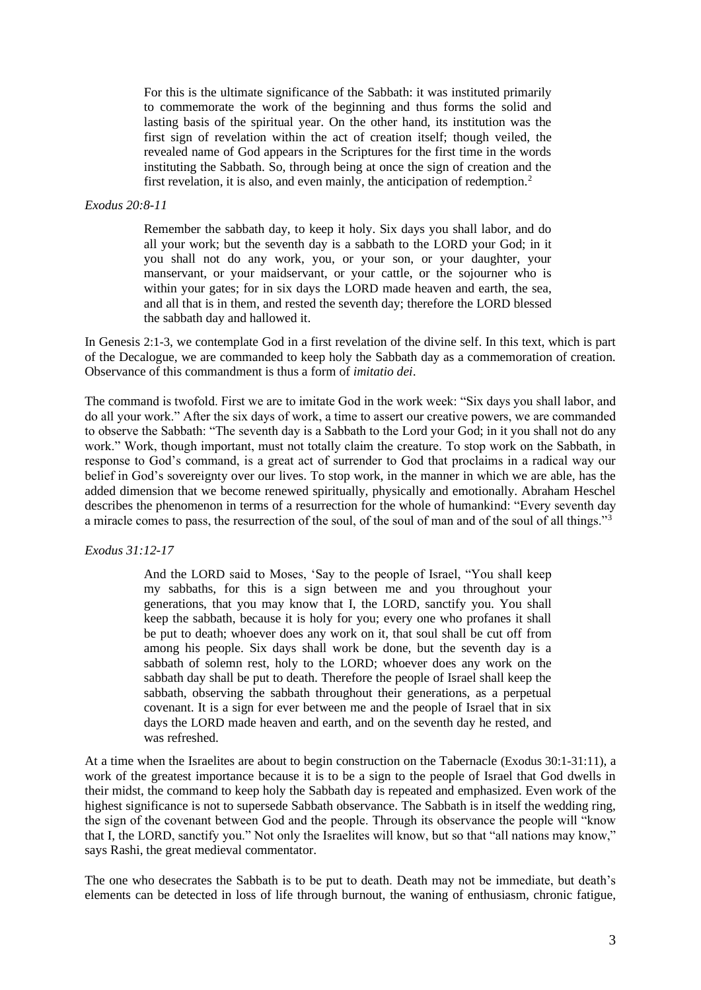For this is the ultimate significance of the Sabbath: it was instituted primarily to commemorate the work of the beginning and thus forms the solid and lasting basis of the spiritual year. On the other hand, its institution was the first sign of revelation within the act of creation itself; though veiled, the revealed name of God appears in the Scriptures for the first time in the words instituting the Sabbath. So, through being at once the sign of creation and the first revelation, it is also, and even mainly, the anticipation of redemption.<sup>2</sup>

## *Exodus 20:8-11*

Remember the sabbath day, to keep it holy. Six days you shall labor, and do all your work; but the seventh day is a sabbath to the LORD your God; in it you shall not do any work, you, or your son, or your daughter, your manservant, or your maidservant, or your cattle, or the sojourner who is within your gates; for in six days the LORD made heaven and earth, the sea, and all that is in them, and rested the seventh day; therefore the LORD blessed the sabbath day and hallowed it.

In Genesis 2:1-3, we contemplate God in a first revelation of the divine self. In this text, which is part of the Decalogue, we are commanded to keep holy the Sabbath day as a commemoration of creation. Observance of this commandment is thus a form of *imitatio dei*.

The command is twofold. First we are to imitate God in the work week: "Six days you shall labor, and do all your work." After the six days of work, a time to assert our creative powers, we are commanded to observe the Sabbath: "The seventh day is a Sabbath to the Lord your God; in it you shall not do any work." Work, though important, must not totally claim the creature. To stop work on the Sabbath, in response to God's command, is a great act of surrender to God that proclaims in a radical way our belief in God's sovereignty over our lives. To stop work, in the manner in which we are able, has the added dimension that we become renewed spiritually, physically and emotionally. Abraham Heschel describes the phenomenon in terms of a resurrection for the whole of humankind: "Every seventh day a miracle comes to pass, the resurrection of the soul, of the soul of man and of the soul of all things."<sup>3</sup>

#### *Exodus 31:12-17*

And the LORD said to Moses, 'Say to the people of Israel, "You shall keep my sabbaths, for this is a sign between me and you throughout your generations, that you may know that I, the LORD, sanctify you. You shall keep the sabbath, because it is holy for you; every one who profanes it shall be put to death; whoever does any work on it, that soul shall be cut off from among his people. Six days shall work be done, but the seventh day is a sabbath of solemn rest, holy to the LORD; whoever does any work on the sabbath day shall be put to death. Therefore the people of Israel shall keep the sabbath, observing the sabbath throughout their generations, as a perpetual covenant. It is a sign for ever between me and the people of Israel that in six days the LORD made heaven and earth, and on the seventh day he rested, and was refreshed.

At a time when the Israelites are about to begin construction on the Tabernacle (Exodus 30:1-31:11), a work of the greatest importance because it is to be a sign to the people of Israel that God dwells in their midst, the command to keep holy the Sabbath day is repeated and emphasized. Even work of the highest significance is not to supersede Sabbath observance. The Sabbath is in itself the wedding ring, the sign of the covenant between God and the people. Through its observance the people will "know that I, the LORD, sanctify you." Not only the Israelites will know, but so that "all nations may know," says Rashi, the great medieval commentator.

The one who desecrates the Sabbath is to be put to death. Death may not be immediate, but death's elements can be detected in loss of life through burnout, the waning of enthusiasm, chronic fatigue,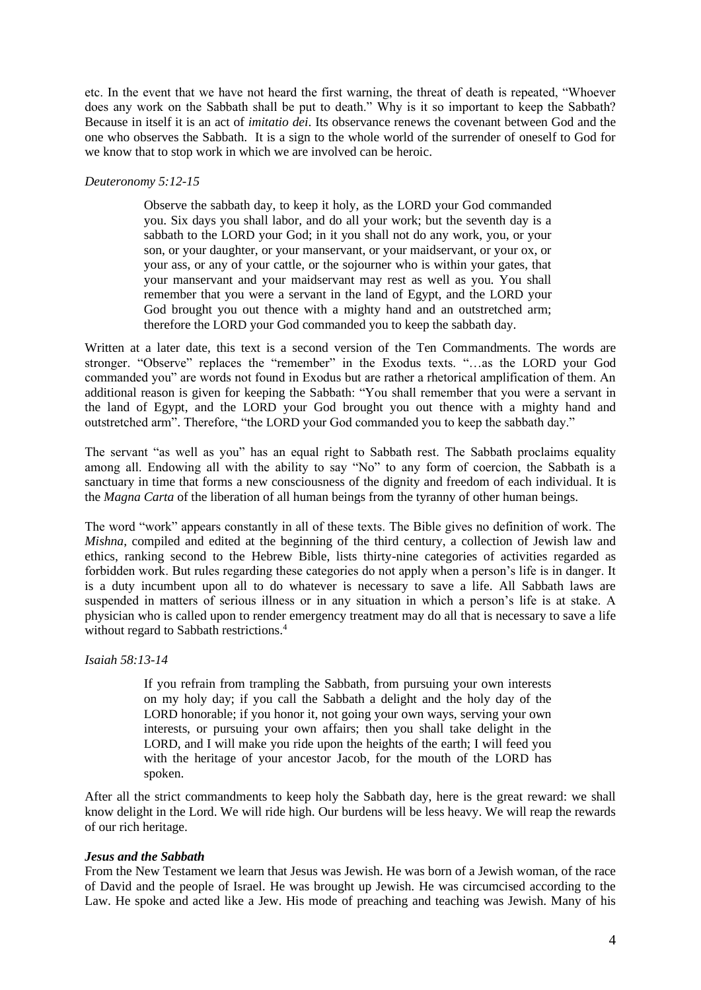etc. In the event that we have not heard the first warning, the threat of death is repeated, "Whoever does any work on the Sabbath shall be put to death." Why is it so important to keep the Sabbath? Because in itself it is an act of *imitatio dei*. Its observance renews the covenant between God and the one who observes the Sabbath. It is a sign to the whole world of the surrender of oneself to God for we know that to stop work in which we are involved can be heroic.

### *Deuteronomy 5:12-15*

Observe the sabbath day, to keep it holy, as the LORD your God commanded you. Six days you shall labor, and do all your work; but the seventh day is a sabbath to the LORD your God; in it you shall not do any work, you, or your son, or your daughter, or your manservant, or your maidservant, or your ox, or your ass, or any of your cattle, or the sojourner who is within your gates, that your manservant and your maidservant may rest as well as you. You shall remember that you were a servant in the land of Egypt, and the LORD your God brought you out thence with a mighty hand and an outstretched arm; therefore the LORD your God commanded you to keep the sabbath day.

Written at a later date, this text is a second version of the Ten Commandments. The words are stronger. "Observe" replaces the "remember" in the Exodus texts. "…as the LORD your God commanded you" are words not found in Exodus but are rather a rhetorical amplification of them. An additional reason is given for keeping the Sabbath: "You shall remember that you were a servant in the land of Egypt, and the LORD your God brought you out thence with a mighty hand and outstretched arm". Therefore, "the LORD your God commanded you to keep the sabbath day."

The servant "as well as you" has an equal right to Sabbath rest. The Sabbath proclaims equality among all. Endowing all with the ability to say "No" to any form of coercion, the Sabbath is a sanctuary in time that forms a new consciousness of the dignity and freedom of each individual. It is the *Magna Carta* of the liberation of all human beings from the tyranny of other human beings.

The word "work" appears constantly in all of these texts. The Bible gives no definition of work. The *Mishna*, compiled and edited at the beginning of the third century, a collection of Jewish law and ethics, ranking second to the Hebrew Bible, lists thirty-nine categories of activities regarded as forbidden work. But rules regarding these categories do not apply when a person's life is in danger. It is a duty incumbent upon all to do whatever is necessary to save a life. All Sabbath laws are suspended in matters of serious illness or in any situation in which a person's life is at stake. A physician who is called upon to render emergency treatment may do all that is necessary to save a life without regard to Sabbath restrictions.<sup>4</sup>

# *Isaiah 58:13-14*

If you refrain from trampling the Sabbath, from pursuing your own interests on my holy day; if you call the Sabbath a delight and the holy day of the LORD honorable; if you honor it, not going your own ways, serving your own interests, or pursuing your own affairs; then you shall take delight in the LORD, and I will make you ride upon the heights of the earth; I will feed you with the heritage of your ancestor Jacob, for the mouth of the LORD has spoken.

After all the strict commandments to keep holy the Sabbath day, here is the great reward: we shall know delight in the Lord. We will ride high. Our burdens will be less heavy. We will reap the rewards of our rich heritage.

#### *Jesus and the Sabbath*

From the New Testament we learn that Jesus was Jewish. He was born of a Jewish woman, of the race of David and the people of Israel. He was brought up Jewish. He was circumcised according to the Law. He spoke and acted like a Jew. His mode of preaching and teaching was Jewish. Many of his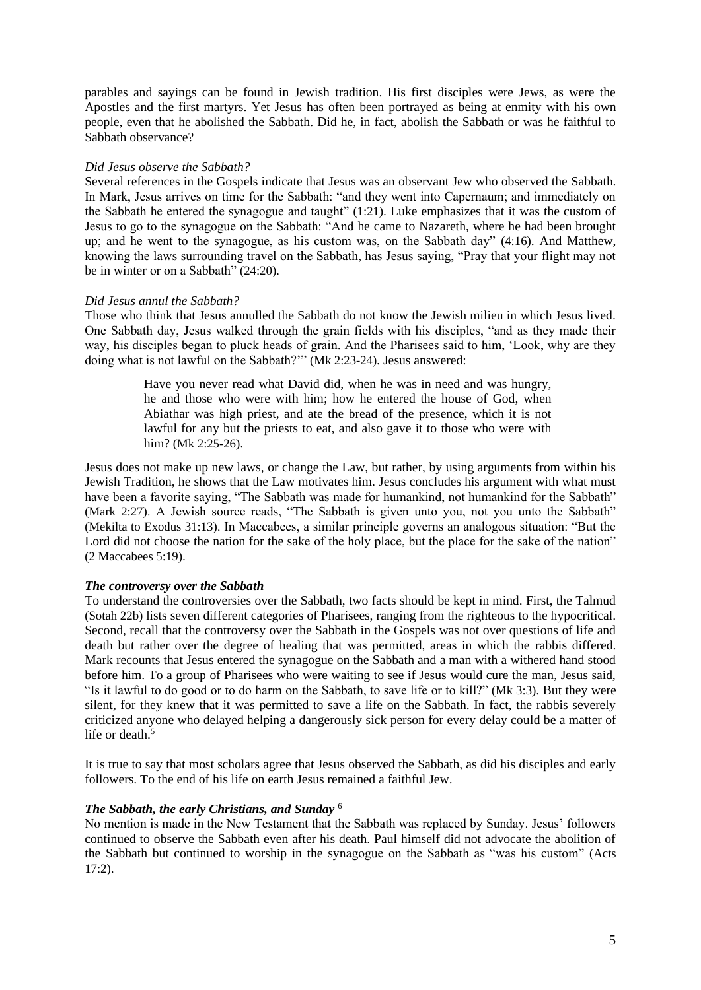parables and sayings can be found in Jewish tradition. His first disciples were Jews, as were the Apostles and the first martyrs. Yet Jesus has often been portrayed as being at enmity with his own people, even that he abolished the Sabbath. Did he, in fact, abolish the Sabbath or was he faithful to Sabbath observance?

## *Did Jesus observe the Sabbath?*

Several references in the Gospels indicate that Jesus was an observant Jew who observed the Sabbath. In Mark, Jesus arrives on time for the Sabbath: "and they went into Capernaum; and immediately on the Sabbath he entered the synagogue and taught" (1:21). Luke emphasizes that it was the custom of Jesus to go to the synagogue on the Sabbath: "And he came to Nazareth, where he had been brought up; and he went to the synagogue, as his custom was, on the Sabbath day" (4:16). And Matthew, knowing the laws surrounding travel on the Sabbath, has Jesus saying, "Pray that your flight may not be in winter or on a Sabbath" (24:20).

### *Did Jesus annul the Sabbath?*

Those who think that Jesus annulled the Sabbath do not know the Jewish milieu in which Jesus lived. One Sabbath day, Jesus walked through the grain fields with his disciples, "and as they made their way, his disciples began to pluck heads of grain. And the Pharisees said to him, 'Look, why are they doing what is not lawful on the Sabbath?'" (Mk 2:23-24). Jesus answered:

> Have you never read what David did, when he was in need and was hungry, he and those who were with him; how he entered the house of God, when Abiathar was high priest, and ate the bread of the presence, which it is not lawful for any but the priests to eat, and also gave it to those who were with him? (Mk 2:25-26).

Jesus does not make up new laws, or change the Law, but rather, by using arguments from within his Jewish Tradition, he shows that the Law motivates him. Jesus concludes his argument with what must have been a favorite saying, "The Sabbath was made for humankind, not humankind for the Sabbath" (Mark 2:27). A Jewish source reads, "The Sabbath is given unto you, not you unto the Sabbath" (Mekilta to Exodus 31:13). In Maccabees, a similar principle governs an analogous situation: "But the Lord did not choose the nation for the sake of the holy place, but the place for the sake of the nation" (2 Maccabees 5:19).

# *The controversy over the Sabbath*

To understand the controversies over the Sabbath, two facts should be kept in mind. First, the Talmud (Sotah 22b) lists seven different categories of Pharisees, ranging from the righteous to the hypocritical. Second, recall that the controversy over the Sabbath in the Gospels was not over questions of life and death but rather over the degree of healing that was permitted, areas in which the rabbis differed. Mark recounts that Jesus entered the synagogue on the Sabbath and a man with a withered hand stood before him. To a group of Pharisees who were waiting to see if Jesus would cure the man, Jesus said, "Is it lawful to do good or to do harm on the Sabbath, to save life or to kill?" (Mk 3:3). But they were silent, for they knew that it was permitted to save a life on the Sabbath. In fact, the rabbis severely criticized anyone who delayed helping a dangerously sick person for every delay could be a matter of life or death.<sup>5</sup>

It is true to say that most scholars agree that Jesus observed the Sabbath, as did his disciples and early followers. To the end of his life on earth Jesus remained a faithful Jew.

## *The Sabbath, the early Christians, and Sunday* <sup>6</sup>

No mention is made in the New Testament that the Sabbath was replaced by Sunday. Jesus' followers continued to observe the Sabbath even after his death. Paul himself did not advocate the abolition of the Sabbath but continued to worship in the synagogue on the Sabbath as "was his custom" (Acts 17:2).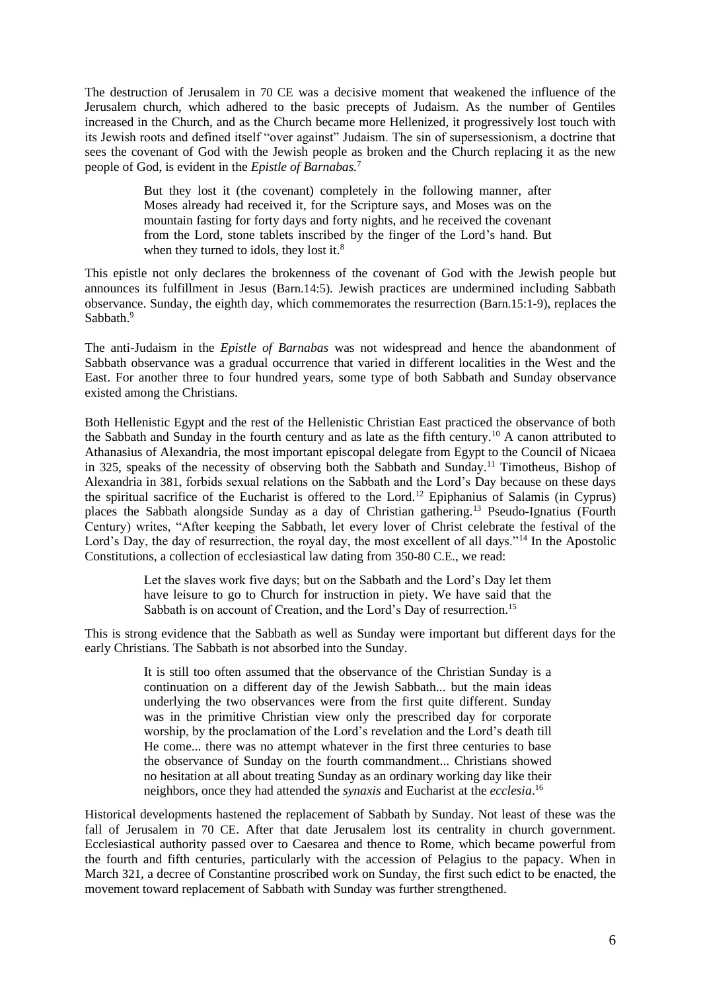The destruction of Jerusalem in 70 CE was a decisive moment that weakened the influence of the Jerusalem church, which adhered to the basic precepts of Judaism. As the number of Gentiles increased in the Church, and as the Church became more Hellenized, it progressively lost touch with its Jewish roots and defined itself "over against" Judaism. The sin of supersessionism, a doctrine that sees the covenant of God with the Jewish people as broken and the Church replacing it as the new people of God, is evident in the *Epistle of Barnabas.*<sup>7</sup>

> But they lost it (the covenant) completely in the following manner, after Moses already had received it, for the Scripture says, and Moses was on the mountain fasting for forty days and forty nights, and he received the covenant from the Lord, stone tablets inscribed by the finger of the Lord's hand. But when they turned to idols, they lost it.<sup>8</sup>

This epistle not only declares the brokenness of the covenant of God with the Jewish people but announces its fulfillment in Jesus (Barn.14:5). Jewish practices are undermined including Sabbath observance. Sunday, the eighth day, which commemorates the resurrection (Barn.15:1-9), replaces the Sabbath.<sup>9</sup>

The anti-Judaism in the *Epistle of Barnabas* was not widespread and hence the abandonment of Sabbath observance was a gradual occurrence that varied in different localities in the West and the East. For another three to four hundred years, some type of both Sabbath and Sunday observance existed among the Christians.

Both Hellenistic Egypt and the rest of the Hellenistic Christian East practiced the observance of both the Sabbath and Sunday in the fourth century and as late as the fifth century.<sup>10</sup> A canon attributed to Athanasius of Alexandria, the most important episcopal delegate from Egypt to the Council of Nicaea in 325, speaks of the necessity of observing both the Sabbath and Sunday.<sup>11</sup> Timotheus, Bishop of Alexandria in 381, forbids sexual relations on the Sabbath and the Lord's Day because on these days the spiritual sacrifice of the Eucharist is offered to the Lord.<sup>12</sup> Epiphanius of Salamis (in Cyprus) places the Sabbath alongside Sunday as a day of Christian gathering.<sup>13</sup> Pseudo-Ignatius (Fourth Century) writes, "After keeping the Sabbath, let every lover of Christ celebrate the festival of the Lord's Day, the day of resurrection, the royal day, the most excellent of all days."<sup>14</sup> In the Apostolic Constitutions, a collection of ecclesiastical law dating from 350-80 C.E., we read:

> Let the slaves work five days; but on the Sabbath and the Lord's Day let them have leisure to go to Church for instruction in piety. We have said that the Sabbath is on account of Creation, and the Lord's Day of resurrection.<sup>15</sup>

This is strong evidence that the Sabbath as well as Sunday were important but different days for the early Christians. The Sabbath is not absorbed into the Sunday.

> It is still too often assumed that the observance of the Christian Sunday is a continuation on a different day of the Jewish Sabbath... but the main ideas underlying the two observances were from the first quite different. Sunday was in the primitive Christian view only the prescribed day for corporate worship, by the proclamation of the Lord's revelation and the Lord's death till He come... there was no attempt whatever in the first three centuries to base the observance of Sunday on the fourth commandment... Christians showed no hesitation at all about treating Sunday as an ordinary working day like their neighbors, once they had attended the *synaxis* and Eucharist at the *ecclesia*. 16

Historical developments hastened the replacement of Sabbath by Sunday. Not least of these was the fall of Jerusalem in 70 CE. After that date Jerusalem lost its centrality in church government. Ecclesiastical authority passed over to Caesarea and thence to Rome, which became powerful from the fourth and fifth centuries, particularly with the accession of Pelagius to the papacy. When in March 321, a decree of Constantine proscribed work on Sunday, the first such edict to be enacted, the movement toward replacement of Sabbath with Sunday was further strengthened.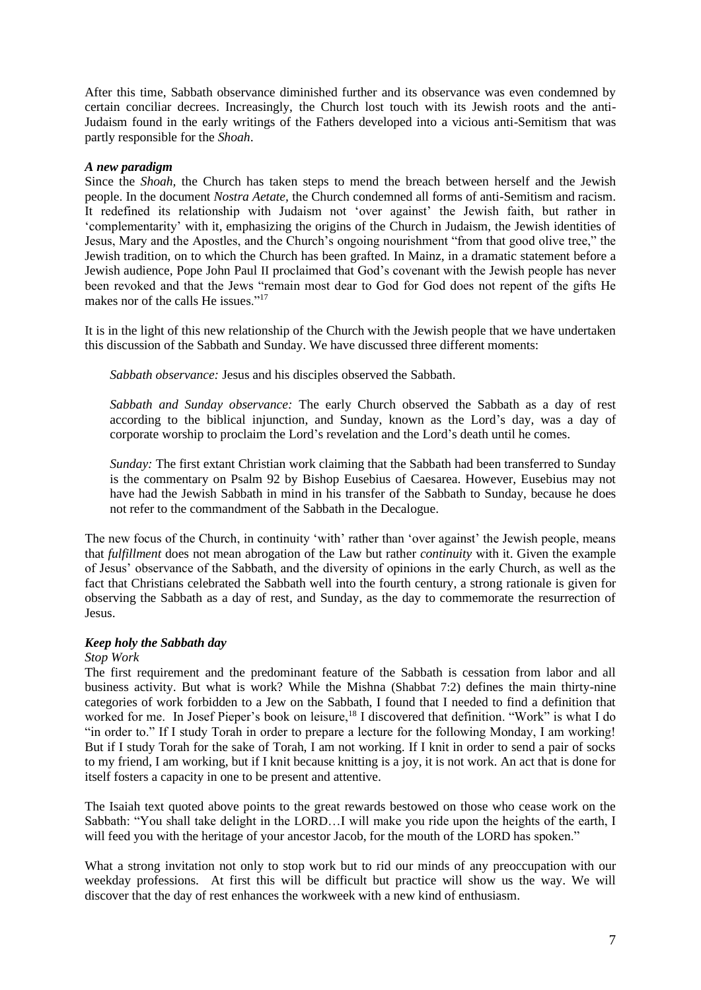After this time, Sabbath observance diminished further and its observance was even condemned by certain conciliar decrees. Increasingly, the Church lost touch with its Jewish roots and the anti-Judaism found in the early writings of the Fathers developed into a vicious anti-Semitism that was partly responsible for the *Shoah*.

# *A new paradigm*

Since the *Shoah,* the Church has taken steps to mend the breach between herself and the Jewish people. In the document *Nostra Aetate,* the Church condemned all forms of anti-Semitism and racism. It redefined its relationship with Judaism not 'over against' the Jewish faith, but rather in 'complementarity' with it, emphasizing the origins of the Church in Judaism, the Jewish identities of Jesus, Mary and the Apostles, and the Church's ongoing nourishment "from that good olive tree," the Jewish tradition, on to which the Church has been grafted. In Mainz, in a dramatic statement before a Jewish audience, Pope John Paul II proclaimed that God's covenant with the Jewish people has never been revoked and that the Jews "remain most dear to God for God does not repent of the gifts He makes nor of the calls He issues."<sup>17</sup>

It is in the light of this new relationship of the Church with the Jewish people that we have undertaken this discussion of the Sabbath and Sunday. We have discussed three different moments:

*Sabbath observance:* Jesus and his disciples observed the Sabbath.

*Sabbath and Sunday observance:* The early Church observed the Sabbath as a day of rest according to the biblical injunction, and Sunday, known as the Lord's day, was a day of corporate worship to proclaim the Lord's revelation and the Lord's death until he comes.

*Sunday:* The first extant Christian work claiming that the Sabbath had been transferred to Sunday is the commentary on Psalm 92 by Bishop Eusebius of Caesarea. However, Eusebius may not have had the Jewish Sabbath in mind in his transfer of the Sabbath to Sunday, because he does not refer to the commandment of the Sabbath in the Decalogue.

The new focus of the Church, in continuity 'with' rather than 'over against' the Jewish people, means that *fulfillment* does not mean abrogation of the Law but rather *continuity* with it. Given the example of Jesus' observance of the Sabbath, and the diversity of opinions in the early Church, as well as the fact that Christians celebrated the Sabbath well into the fourth century, a strong rationale is given for observing the Sabbath as a day of rest, and Sunday, as the day to commemorate the resurrection of Jesus.

# *Keep holy the Sabbath day*

#### *Stop Work*

The first requirement and the predominant feature of the Sabbath is cessation from labor and all business activity. But what is work? While the Mishna (Shabbat 7:2) defines the main thirty-nine categories of work forbidden to a Jew on the Sabbath, I found that I needed to find a definition that worked for me. In Josef Pieper's book on leisure,<sup>18</sup> I discovered that definition. "Work" is what I do "in order to." If I study Torah in order to prepare a lecture for the following Monday, I am working! But if I study Torah for the sake of Torah, I am not working. If I knit in order to send a pair of socks to my friend, I am working, but if I knit because knitting is a joy, it is not work. An act that is done for itself fosters a capacity in one to be present and attentive.

The Isaiah text quoted above points to the great rewards bestowed on those who cease work on the Sabbath: "You shall take delight in the LORD…I will make you ride upon the heights of the earth, I will feed you with the heritage of your ancestor Jacob, for the mouth of the LORD has spoken."

What a strong invitation not only to stop work but to rid our minds of any preoccupation with our weekday professions. At first this will be difficult but practice will show us the way. We will discover that the day of rest enhances the workweek with a new kind of enthusiasm.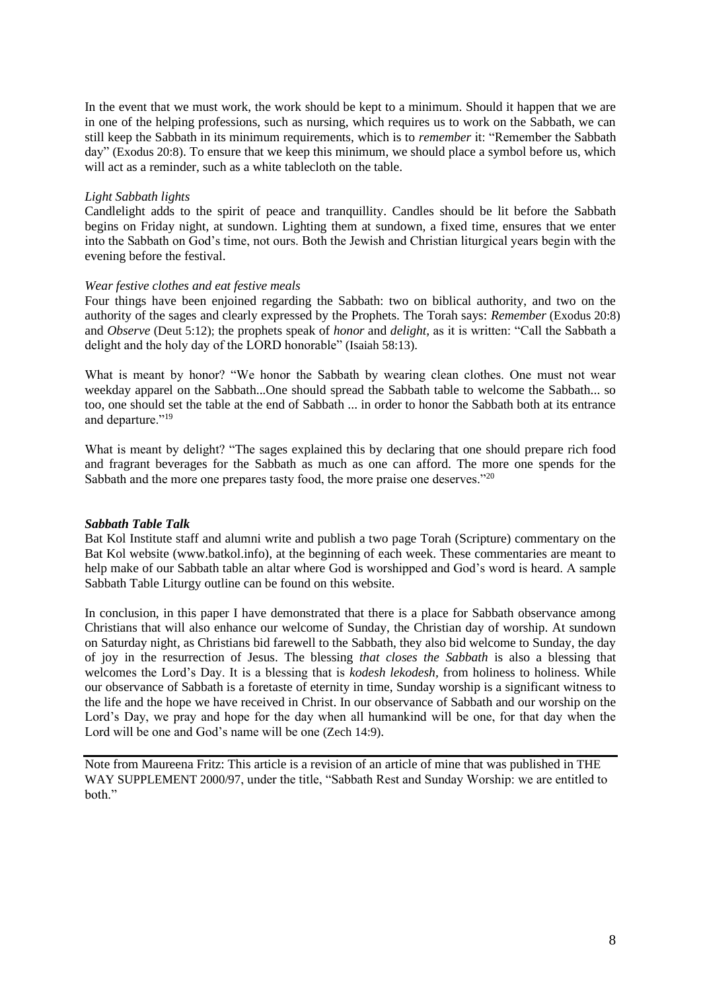In the event that we must work, the work should be kept to a minimum. Should it happen that we are in one of the helping professions, such as nursing, which requires us to work on the Sabbath, we can still keep the Sabbath in its minimum requirements, which is to *remember* it: "Remember the Sabbath day" (Exodus 20:8). To ensure that we keep this minimum, we should place a symbol before us, which will act as a reminder, such as a white tablecloth on the table.

# *Light Sabbath lights*

Candlelight adds to the spirit of peace and tranquillity. Candles should be lit before the Sabbath begins on Friday night, at sundown. Lighting them at sundown, a fixed time, ensures that we enter into the Sabbath on God's time, not ours. Both the Jewish and Christian liturgical years begin with the evening before the festival.

# *Wear festive clothes and eat festive meals*

Four things have been enjoined regarding the Sabbath: two on biblical authority, and two on the authority of the sages and clearly expressed by the Prophets. The Torah says: *Remember* (Exodus 20:8) and *Observe* (Deut 5:12); the prophets speak of *honor* and *delight,* as it is written: "Call the Sabbath a delight and the holy day of the LORD honorable" (Isaiah 58:13).

What is meant by honor? "We honor the Sabbath by wearing clean clothes. One must not wear weekday apparel on the Sabbath...One should spread the Sabbath table to welcome the Sabbath... so too, one should set the table at the end of Sabbath ... in order to honor the Sabbath both at its entrance and departure."<sup>19</sup>

What is meant by delight? "The sages explained this by declaring that one should prepare rich food and fragrant beverages for the Sabbath as much as one can afford. The more one spends for the Sabbath and the more one prepares tasty food, the more praise one deserves."<sup>20</sup>

# *Sabbath Table Talk*

Bat Kol Institute staff and alumni write and publish a two page Torah (Scripture) commentary on the Bat Kol website (www.batkol.info), at the beginning of each week. These commentaries are meant to help make of our Sabbath table an altar where God is worshipped and God's word is heard. A sample Sabbath Table Liturgy outline can be found on this website.

In conclusion, in this paper I have demonstrated that there is a place for Sabbath observance among Christians that will also enhance our welcome of Sunday, the Christian day of worship. At sundown on Saturday night, as Christians bid farewell to the Sabbath, they also bid welcome to Sunday, the day of joy in the resurrection of Jesus. The blessing *that closes the Sabbath* is also a blessing that welcomes the Lord's Day. It is a blessing that is *kodesh lekodesh,* from holiness to holiness. While our observance of Sabbath is a foretaste of eternity in time, Sunday worship is a significant witness to the life and the hope we have received in Christ. In our observance of Sabbath and our worship on the Lord's Day, we pray and hope for the day when all humankind will be one, for that day when the Lord will be one and God's name will be one (Zech 14:9).

Note from Maureena Fritz: This article is a revision of an article of mine that was published in THE WAY SUPPLEMENT 2000/97, under the title, "Sabbath Rest and Sunday Worship: we are entitled to both."